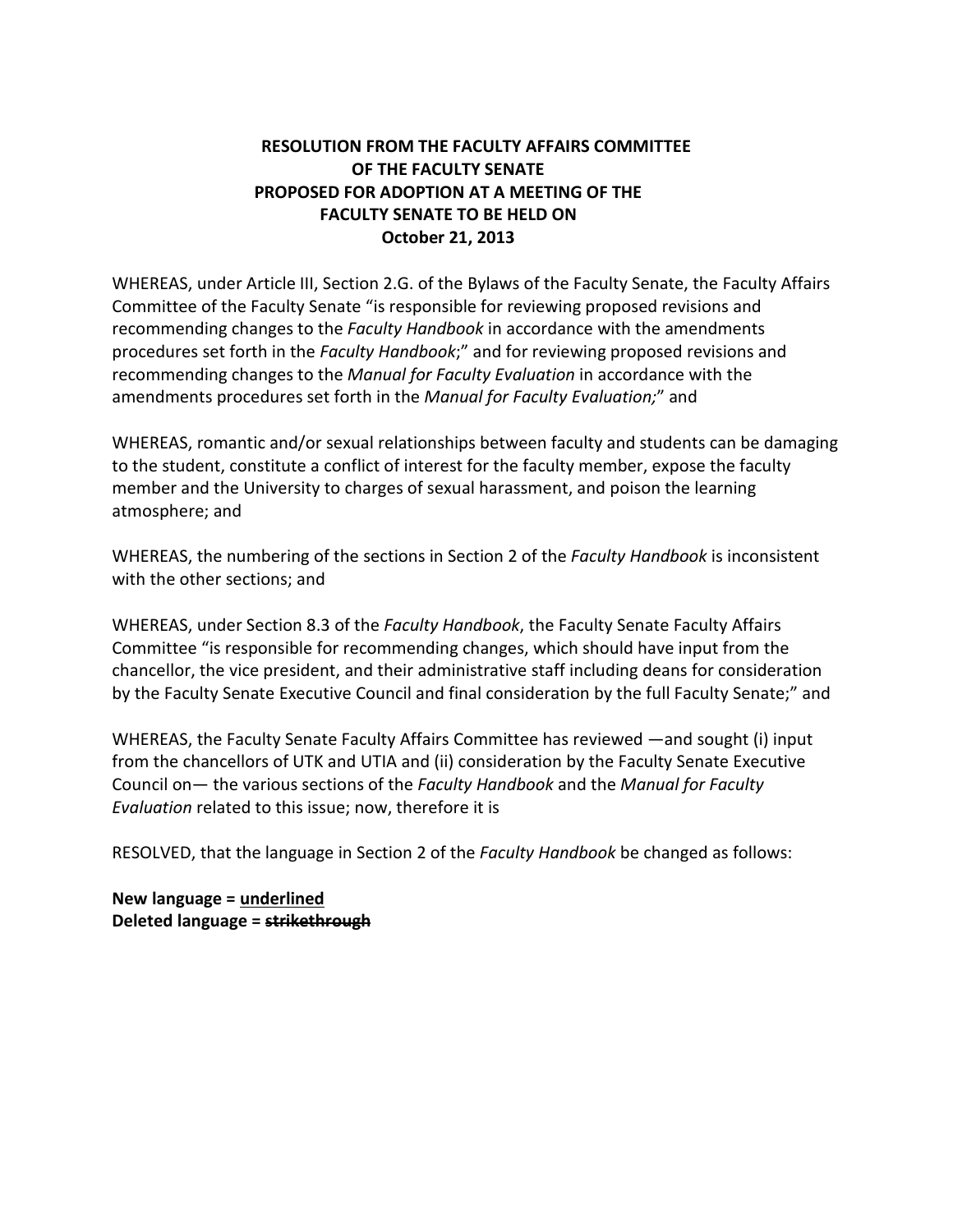## **RESOLUTION FROM THE FACULTY AFFAIRS COMMITTEE OF THE FACULTY SENATE PROPOSED FOR ADOPTION AT A MEETING OF THE FACULTY SENATE TO BE HELD ON October 21, 2013**

WHEREAS, under Article III, Section 2.G. of the Bylaws of the Faculty Senate, the Faculty Affairs Committee of the Faculty Senate "is responsible for reviewing proposed revisions and recommending changes to the *Faculty Handbook* in accordance with the amendments procedures set forth in the *Faculty Handbook*;" and for reviewing proposed revisions and recommending changes to the *Manual for Faculty Evaluation* in accordance with the amendments procedures set forth in the *Manual for Faculty Evaluation;*" and

WHEREAS, romantic and/or sexual relationships between faculty and students can be damaging to the student, constitute a conflict of interest for the faculty member, expose the faculty member and the University to charges of sexual harassment, and poison the learning atmosphere; and

WHEREAS, the numbering of the sections in Section 2 of the *Faculty Handbook* is inconsistent with the other sections; and

WHEREAS, under Section 8.3 of the *Faculty Handbook*, the Faculty Senate Faculty Affairs Committee "is responsible for recommending changes, which should have input from the chancellor, the vice president, and their administrative staff including deans for consideration by the Faculty Senate Executive Council and final consideration by the full Faculty Senate;" and

WHEREAS, the Faculty Senate Faculty Affairs Committee has reviewed —and sought (i) input from the chancellors of UTK and UTIA and (ii) consideration by the Faculty Senate Executive Council on— the various sections of the *Faculty Handbook* and the *Manual for Faculty Evaluation* related to this issue; now, therefore it is

RESOLVED, that the language in Section 2 of the *Faculty Handbook* be changed as follows:

**New language = underlined Deleted language = strikethrough**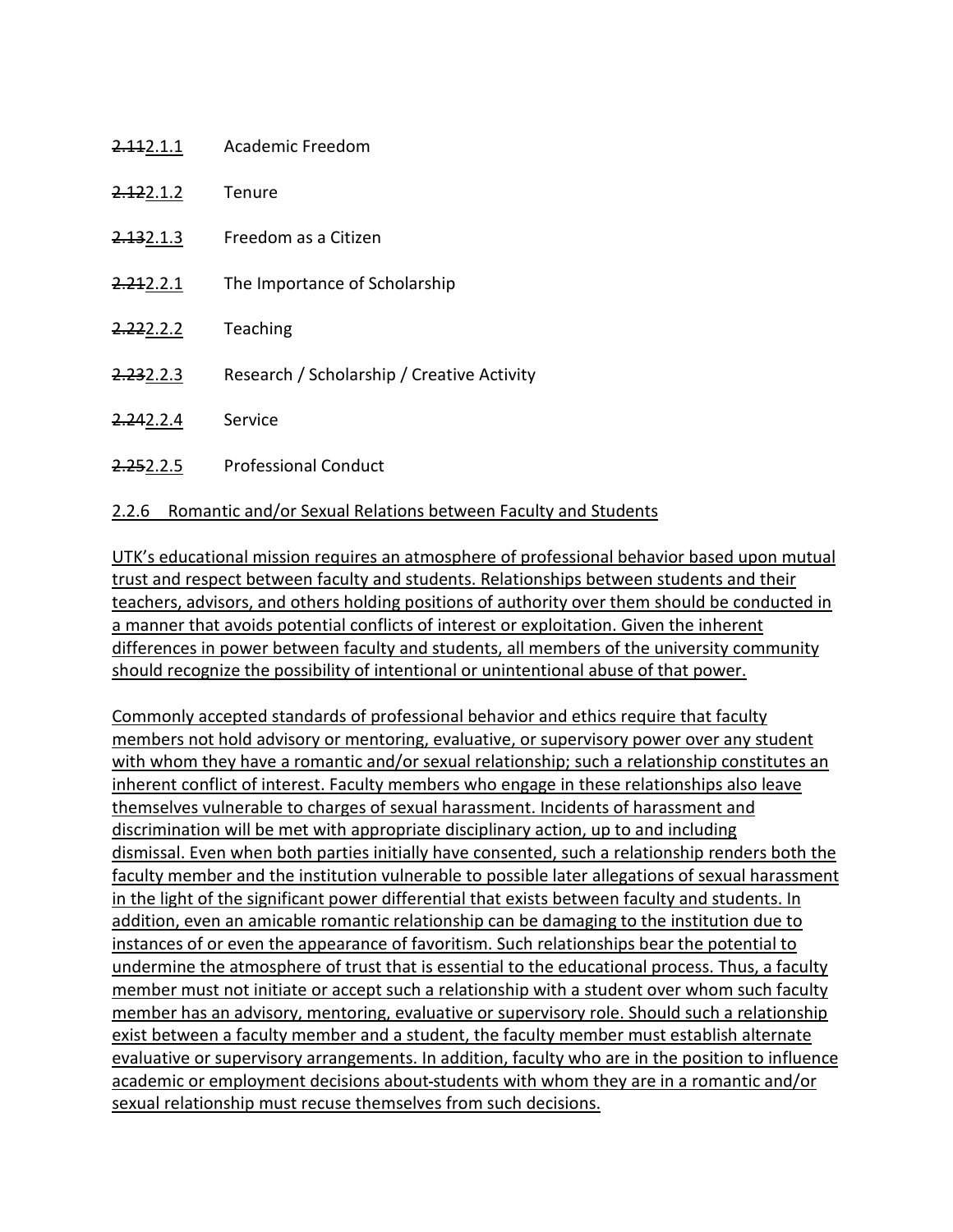| <del>2.11</del> 2.1.1 | Academic Freedom                           |
|-----------------------|--------------------------------------------|
| <del>2.12</del> 2.1.2 | Tenure                                     |
| <del>2.13</del> 2.1.3 | Freedom as a Citizen                       |
| 2.212.2.1             | The Importance of Scholarship              |
| <del>2.22</del> 2.2.2 | Teaching                                   |
| <del>2.23</del> 2.2.3 | Research / Scholarship / Creative Activity |
| <del>2.24</del> 2.2.4 | Service                                    |
| <del>2.25</del> 2.2.5 | <b>Professional Conduct</b>                |

## 2.2.6 Romantic and/or Sexual Relations between Faculty and Students

UTK's educational mission requires an atmosphere of professional behavior based upon mutual trust and respect between faculty and students. Relationships between students and their teachers, advisors, and others holding positions of authority over them should be conducted in a manner that avoids potential conflicts of interest or exploitation. Given the inherent differences in power between faculty and students, all members of the university community should recognize the possibility of intentional or unintentional abuse of that power.

Commonly accepted standards of professional behavior and ethics require that faculty members not hold advisory or mentoring, evaluative, or supervisory power over any student with whom they have a romantic and/or sexual relationship; such a relationship constitutes an inherent conflict of interest. Faculty members who engage in these relationships also leave themselves vulnerable to charges of sexual harassment. Incidents of harassment and discrimination will be met with appropriate disciplinary action, up to and including dismissal. Even when both parties initially have consented, such a relationship renders both the faculty member and the institution vulnerable to possible later allegations of sexual harassment in the light of the significant power differential that exists between faculty and students. In addition, even an amicable romantic relationship can be damaging to the institution due to instances of or even the appearance of favoritism. Such relationships bear the potential to undermine the atmosphere of trust that is essential to the educational process. Thus, a faculty member must not initiate or accept such a relationship with a student over whom such faculty member has an advisory, mentoring, evaluative or supervisory role. Should such a relationship exist between a faculty member and a student, the faculty member must establish alternate evaluative or supervisory arrangements. In addition, faculty who are in the position to influence academic or employment decisions about-students with whom they are in a romantic and/or sexual relationship must recuse themselves from such decisions.